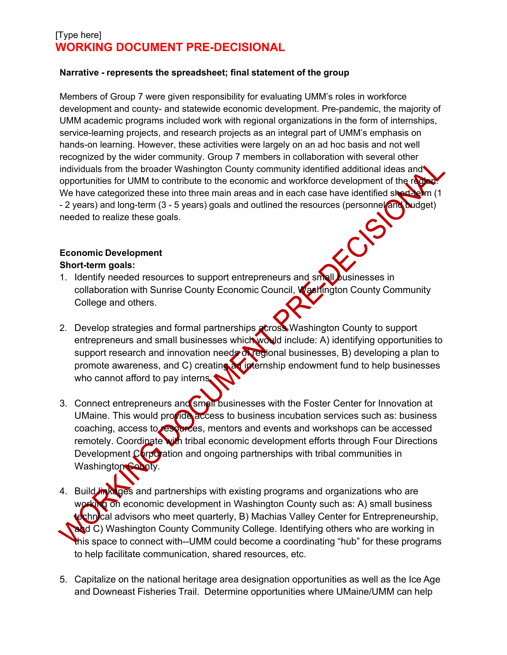#### **Narrative - represents the spreadsheet; final statement of the group**

Members of Group 7 were given responsibility for evaluating UMM's roles in workforce development and county- and statewide economic development. Pre-pandemic, the majority of UMM academic programs included work with regional organizations in the form of internships, service-learning projects, and research projects as an integral part of UMM's emphasis on hands-on learning. However, these activities were largely on an ad hoc basis and not well recognized by the wider community. Group 7 members in collaboration with several other individuals from the broader Washington County community identified additional ideas and opportunities for UMM to contribute to the economic and workforce development of the region We have categorized these into three main areas and in each case have identified short-term (1) - 2 years) and long-term (3 - 5 years) goals and outlined the resources (personnel and budget) needed to realize these goals.

#### **Economic Development Short-term goals:**

1. Identify needed resources to support entrepreneurs and small businesses in collaboration with Sunrise County Economic Council, Washington County Community College and others.

ECI

- 2. Develop strategies and formal partnerships across Washington County to support entrepreneurs and small businesses which would include: A) identifying opportunities to support research and innovation needs of regional businesses, B) developing a plan to promote awareness, and C) creating an internship endowment fund to help businesses who cannot afford to pay interns.
- 3. Connect entrepreneurs and small businesses with the Foster Center for Innovation at UMaine. This would provide access to business incubation services such as: business coaching, access to resources, mentors and events and workshops can be accessed remotely. Coordinate with tribal economic development efforts through Four Directions Development  $C$  orporation and ongoing partnerships with tribal communities in Washington County.
- 4. Build in kages and partnerships with existing programs and organizations who are working on economic development in Washington County such as: A) small business technical advisors who meet quarterly, B) Machias Valley Center for Entrepreneurship, and C) Washington County Community College. Identifying others who are working in this space to connect with--UMM could become a coordinating "hub" for these programs to help facilitate communication, shared resources, etc.
- 5. Capitalize on the national heritage area designation opportunities as well as the Ice Age and Downeast Fisheries Trail. Determine opportunities where UMaine/UMM can help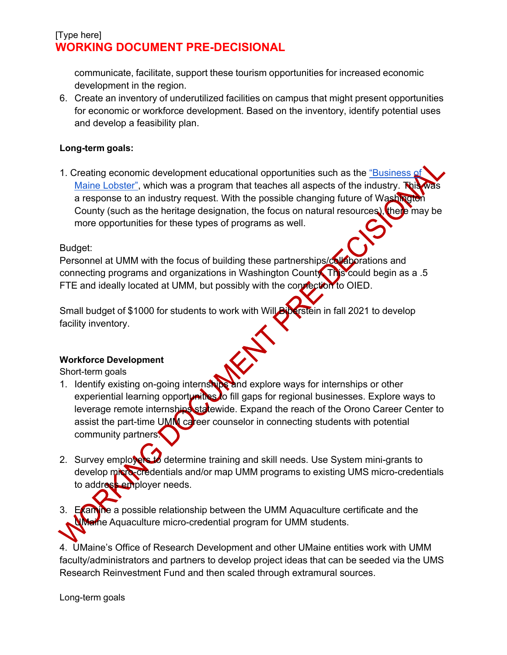communicate, facilitate, support these tourism opportunities for increased economic development in the region.

6. Create an inventory of underutilized facilities on campus that might present opportunities for economic or workforce development. Based on the inventory, identify potential uses and develop a feasibility plan.

### **Long-term goals:**

1. Creating economic development educational opportunities such as the ["Business of](https://machiasvalleycenter.org/the-business-of-maine-lobster-the-industry-a-to-z-register-today/) [Maine Lobster",](https://machiasvalleycenter.org/the-business-of-maine-lobster-the-industry-a-to-z-register-today/) which was a program that teaches all aspects of the industry. This a response to an industry request. With the possible changing future of Washington County (such as the heritage designation, the focus on natural resources), there may be more opportunities for these types of programs as well.

### Budget:

Personnel at UMM with the focus of building these partnerships/collaborations and connecting programs and organizations in Washington County. This could begin as a .5 FTE and ideally located at UMM, but possibly with the connection to OIED.

Small budget of \$1000 for students to work with Will Biberstein in fall 2021 to develop facility inventory.

### **Workforce Development**

Short-term goals

- 1. Identify existing on-going internships and explore ways for internships or other experiential learning opportunities to fill gaps for regional businesses. Explore ways to leverage remote internships statewide. Expand the reach of the Orono Career Center to assist the part-time UMM career counselor in connecting students with potential community partners.
- 2. Survey employers to determine training and skill needs. Use System mini-grants to develop micro-credentials and/or map UMM programs to existing UMS micro-credentials to address employer needs.
- 3. Examine a possible relationship between the UMM Aquaculture certificate and the UMaine Aquaculture micro-credential program for UMM students.

4. UMaine's Office of Research Development and other UMaine entities work with UMM faculty/administrators and partners to develop project ideas that can be seeded via the UMS Research Reinvestment Fund and then scaled through extramural sources.

Long-term goals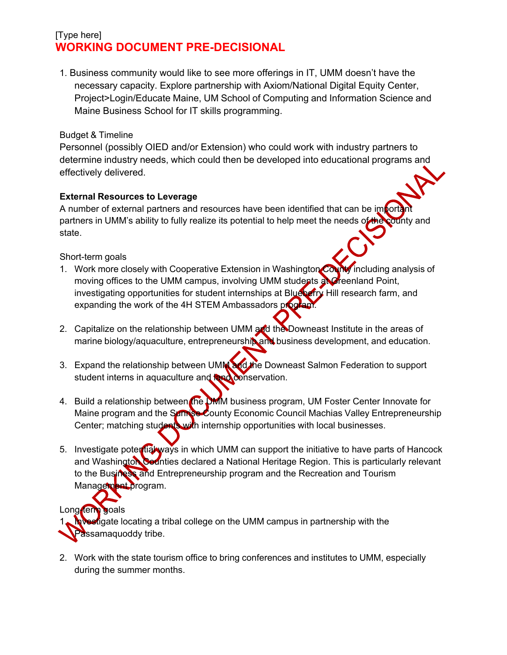1. Business community would like to see more offerings in IT, UMM doesn't have the necessary capacity. Explore partnership with Axiom/National Digital Equity Center, Project>Login/Educate Maine, UM School of Computing and Information Science and Maine Business School for IT skills programming.

#### Budget & Timeline

Personnel (possibly OIED and/or Extension) who could work with industry partners to determine industry needs, which could then be developed into educational programs and effectively delivered.

#### **External Resources to Leverage**

A number of external partners and resources have been identified that can be importantly partners in UMM's ability to fully realize its potential to help meet the needs of the county and state.

#### Short-term goals

- 1. Work more closely with Cooperative Extension in Washington County including analysis of moving offices to the UMM campus, involving UMM students and reenland Point, investigating opportunities for student internships at Blueberry Hill research farm, and expanding the work of the 4H STEM Ambassadors program.
- 2. Capitalize on the relationship between UMM and the Downeast Institute in the areas of marine biology/aquaculture, entrepreneurship and business development, and education.
- 3. Expand the relationship between UMM and the Downeast Salmon Federation to support student interns in aquaculture and **RRA** conservation.
- 4. Build a relationship between the DMM business program, UM Foster Center Innovate for Maine program and the Samise County Economic Council Machias Valley Entrepreneurship Center; matching students with internship opportunities with local businesses.
- 5. Investigate potertial ways in which UMM can support the initiative to have parts of Hancock and Washington Counties declared a National Heritage Region. This is particularly relevant to the Business and Entrepreneurship program and the Recreation and Tourism Management program.

# Long-term goals

**Investigate locating a tribal college on the UMM campus in partnership with the** assamaquoddy tribe.

2. Work with the state tourism office to bring conferences and institutes to UMM, especially during the summer months.